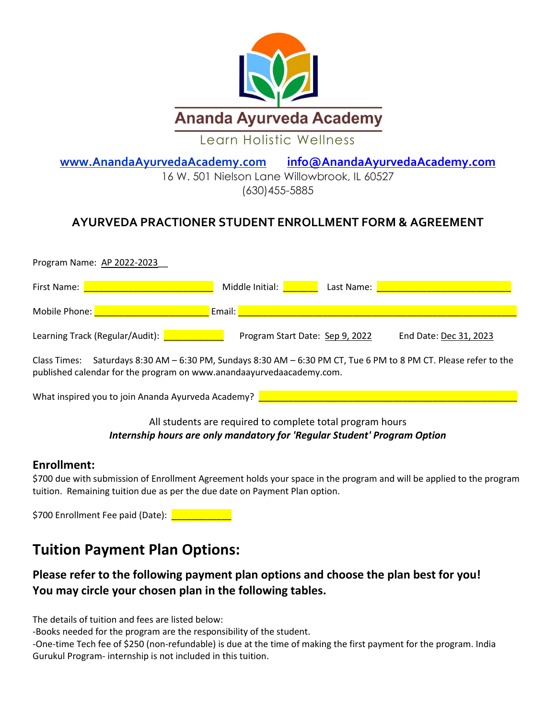

**[www.AnandaAyurvedaAcademy.](http://www.anandaayurvedaacademy/)com [info@AnandaAyurvedaAcademy.com](mailto:info@AnandaAyurvedaAcademy.com)** 

16 W. 501 Nielson Lane Willowbrook, IL 60527 [\(630\)455-5885](https://www.google.com/search?rlz=1C1SQJL_enUS785US785&ei=DsMdW8jfL4ja0gLk5b7QCA&q=soderworld&oq=soder+world&gs_l=psy-ab.1.0.0i10k1l10.122522.127470.0.129394.38.18.0.0.0.0.335.2572.0j5j3j3.12.0..2..0...1.1.64.psy-ab..27.11.2651.6..0j35i39k1j0i131k1j0i67k1j0i20i263k1j0i20i264k1j0i131i20i264k1j0i131i67k1j0i22i10i30k1j0i22i30k1.233.CIpQ1J2VhxY)

## **AYURVEDA PRACTIONER STUDENT ENROLLMENT FORM & AGREEMENT**

| Program Name: AP 2022-2023 |                                                                                                     |                                 |            |                        |  |  |
|----------------------------|-----------------------------------------------------------------------------------------------------|---------------------------------|------------|------------------------|--|--|
| First Name:                |                                                                                                     | Middle Initial:                 | Last Name: |                        |  |  |
| Mobile Phone:              |                                                                                                     | Email:                          |            |                        |  |  |
|                            | Learning Track (Regular/Audit):                                                                     | Program Start Date: Sep 9, 2022 |            | End Date: Dec 31, 2023 |  |  |
| Class Times:               | Saturdays 8:30 AM - 6:30 PM, Sundays 8:30 AM - 6:30 PM CT, Tue 6 PM to 8 PM CT. Please refer to the |                                 |            |                        |  |  |

published calendar for the program on www.anandaayurvedaacademy.com.

What inspired you to join Ananda Ayurveda Academy?

### All students are required to complete total program hours *Internship hours are only mandatory for 'Regular Student' Program Option*

### **Enrollment:**

\$700 due with submission of Enrollment Agreement holds your space in the program and will be applied to the program tuition. Remaining tuition due as per the due date on Payment Plan option.

\$700 Enrollment Fee paid (Date): **We can be also also that the set of the set of the set of the set of the set o** 

## **Tuition Payment Plan Options:**

### **Please refer to the following payment plan options and choose the plan best for you! You may circle your chosen plan in the following tables.**

The details of tuition and fees are listed below:

-Books needed for the program are the responsibility of the student.

-One-time Tech fee of \$250 (non-refundable) is due at the time of making the first payment for the program. India Gurukul Program- internship is not included in this tuition.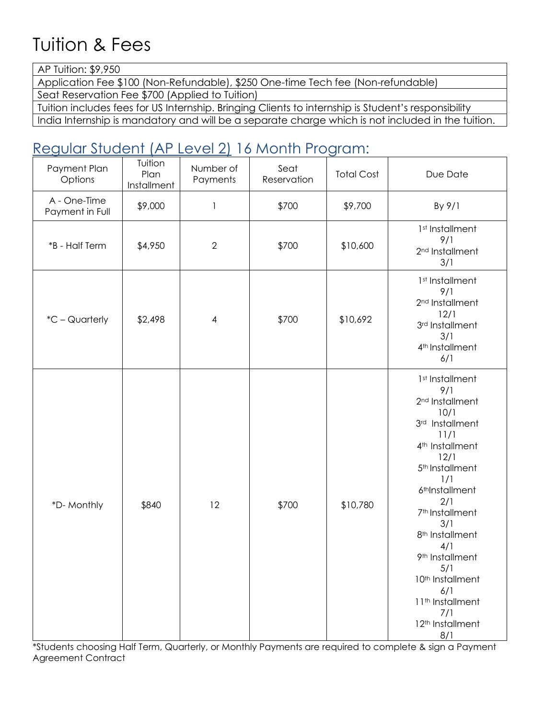# Tuition & Fees

AP Tuition: \$9,950

Application Fee \$100 (Non-Refundable), \$250 One-time Tech fee (Non-refundable)

Seat Reservation Fee \$700 (Applied to Tuition)

Tuition includes fees for US Internship. Bringing Clients to internship is Student's responsibility

India Internship is mandatory and will be a separate charge which is not included in the tuition.

# Regular Student (AP Level 2) 16 Month Program:

| Payment Plan<br>Options         | Tuition<br>Plan<br>Installment | Number of<br>Payments | Seat<br>Reservation | <b>Total Cost</b> | Due Date                                                                                                                                                                                                                                                                                                                                                                                                                   |
|---------------------------------|--------------------------------|-----------------------|---------------------|-------------------|----------------------------------------------------------------------------------------------------------------------------------------------------------------------------------------------------------------------------------------------------------------------------------------------------------------------------------------------------------------------------------------------------------------------------|
| A - One-Time<br>Payment in Full | \$9,000                        | $\mathbf{I}$          | \$700               | \$9,700           | By 9/1                                                                                                                                                                                                                                                                                                                                                                                                                     |
| *B - Half Term                  | \$4,950                        | $\overline{2}$        | \$700               | \$10,600          | 1st Installment<br>9/1<br>2 <sup>nd</sup> Installment<br>3/1                                                                                                                                                                                                                                                                                                                                                               |
| *C - Quarterly                  | \$2,498                        | $\overline{4}$        | \$700               | \$10,692          | 1st Installment<br>9/1<br>2 <sup>nd</sup> Installment<br>12/1<br>3rd Installment<br>3/1<br>4 <sup>th</sup> Installment<br>6/1                                                                                                                                                                                                                                                                                              |
| *D-Monthly                      | \$840                          | 12                    | \$700               | \$10,780          | 1st Installment<br>9/1<br>2 <sup>nd</sup> Installment<br>10/1<br>3rd Installment<br>11/1<br>4 <sup>th</sup> Installment<br>12/1<br>5 <sup>th</sup> Installment<br>1/1<br>6 <sup>th</sup> Installment<br>2/1<br>7 <sup>th</sup> Installment<br>3/1<br>8 <sup>th</sup> Installment<br>4/1<br>9 <sup>th</sup> Installment<br>5/1<br>10 <sup>th</sup> Installment<br>6/1<br>11th Installment<br>7/1<br>12th Installment<br>8/1 |

\*Students choosing Half Term, Quarterly, or Monthly Payments are required to complete & sign a Payment Agreement Contract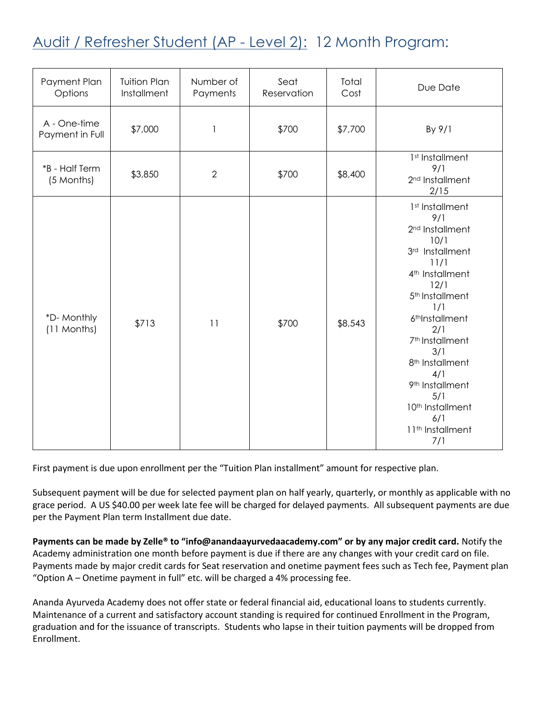# Audit / Refresher Student (AP - Level 2): 12 Month Program:

| Payment Plan<br>Options         | <b>Tuition Plan</b><br>Installment | Number of<br>Payments | Seat<br>Reservation | Total<br>Cost | Due Date                                                                                                                                                                                                                                                                                                                                                                                                    |
|---------------------------------|------------------------------------|-----------------------|---------------------|---------------|-------------------------------------------------------------------------------------------------------------------------------------------------------------------------------------------------------------------------------------------------------------------------------------------------------------------------------------------------------------------------------------------------------------|
| A - One-time<br>Payment in Full | \$7,000                            | $\mathbf{1}$          | \$700               | \$7,700       | By 9/1                                                                                                                                                                                                                                                                                                                                                                                                      |
| *B - Half Term<br>(5 Months)    | \$3,850                            | $\overline{2}$        | \$700               | \$8,400       | 1st Installment<br>9/1<br>2 <sup>nd</sup> Installment<br>2/15                                                                                                                                                                                                                                                                                                                                               |
| *D-Monthly<br>(11 Months)       | \$713                              | 11                    | \$700               | \$8,543       | 1 <sup>st</sup> Installment<br>9/1<br>2 <sup>nd</sup> Installment<br>10/1<br>3rd Installment<br>11/1<br>4 <sup>th</sup> Installment<br>12/1<br>5 <sup>th</sup> Installment<br>1/1<br>6 <sup>th</sup> Installment<br>2/1<br>7 <sup>th</sup> Installment<br>3/1<br>8 <sup>th</sup> Installment<br>4/1<br>9 <sup>th</sup> Installment<br>5/1<br>10th Installment<br>6/1<br>11 <sup>th</sup> Installment<br>7/1 |

First payment is due upon enrollment per the "Tuition Plan installment" amount for respective plan.

Subsequent payment will be due for selected payment plan on half yearly, quarterly, or monthly as applicable with no grace period. A US \$40.00 per week late fee will be charged for delayed payments. All subsequent payments are due per the Payment Plan term Installment due date.

**Payments can be made by Zelle® to "info@anandaayurvedaacademy.com" or by any major credit card.** Notify the Academy administration one month before payment is due if there are any changes with your credit card on file. Payments made by major credit cards for Seat reservation and onetime payment fees such as Tech fee, Payment plan "Option A – Onetime payment in full" etc. will be charged a 4% processing fee.

Ananda Ayurveda Academy does not offer state or federal financial aid, educational loans to students currently. Maintenance of a current and satisfactory account standing is required for continued Enrollment in the Program, graduation and for the issuance of transcripts. Students who lapse in their tuition payments will be dropped from Enrollment.